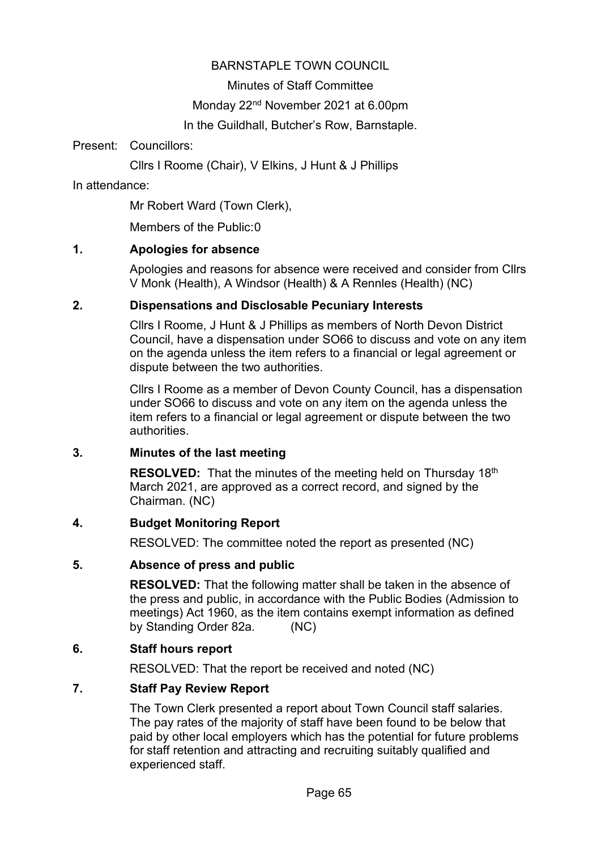## BARNSTAPLE TOWN COUNCIL

Minutes of Staff Committee

Monday 22<sup>nd</sup> November 2021 at 6.00pm

In the Guildhall, Butcher's Row, Barnstaple.

Present: Councillors:

Cllrs I Roome (Chair), V Elkins, J Hunt & J Phillips

In attendance:

Mr Robert Ward (Town Clerk),

Members of the Public:0

## **1. Apologies for absence**

Apologies and reasons for absence were received and consider from Cllrs V Monk (Health), A Windsor (Health) & A Rennles (Health) (NC)

## **2. Dispensations and Disclosable Pecuniary Interests**

Cllrs I Roome, J Hunt & J Phillips as members of North Devon District Council, have a dispensation under SO66 to discuss and vote on any item on the agenda unless the item refers to a financial or legal agreement or dispute between the two authorities.

Cllrs I Roome as a member of Devon County Council, has a dispensation under SO66 to discuss and vote on any item on the agenda unless the item refers to a financial or legal agreement or dispute between the two authorities.

## **3. Minutes of the last meeting**

**RESOLVED:** That the minutes of the meeting held on Thursday 18<sup>th</sup> March 2021, are approved as a correct record, and signed by the Chairman. (NC)

## **4. Budget Monitoring Report**

RESOLVED: The committee noted the report as presented (NC)

## **5. Absence of press and public**

**RESOLVED:** That the following matter shall be taken in the absence of the press and public, in accordance with the Public Bodies (Admission to meetings) Act 1960, as the item contains exempt information as defined by Standing Order 82a. (NC)

## **6. Staff hours report**

RESOLVED: That the report be received and noted (NC)

## **7. Staff Pay Review Report**

The Town Clerk presented a report about Town Council staff salaries. The pay rates of the majority of staff have been found to be below that paid by other local employers which has the potential for future problems for staff retention and attracting and recruiting suitably qualified and experienced staff.